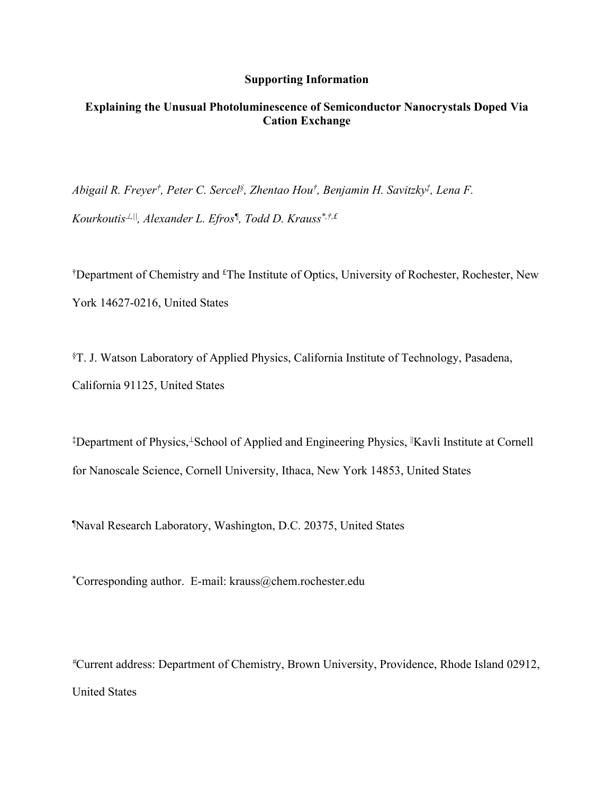## **Supporting Information**

# **Explaining the Unusual Photoluminescence of Semiconductor Nanocrystals Doped Via Cation Exchange**

*Abigail R. Freyer† , Peter C. Sercel§ , Zhentao Hou† , Benjamin H. Savitzky‡ , Lena F.* 

*Kourkoutis,||, Alexander L. Efros¶ , Todd D. Krauss\*,†,£*

<sup>†</sup>Department of Chemistry and <sup>£</sup>The Institute of Optics, University of Rochester, Rochester, New York 14627-0216, United States

§T. J. Watson Laboratory of Applied Physics, California Institute of Technology, Pasadena, California 91125, United States

<sup>‡</sup>Department of Physics,<sup>⊥</sup>School of Applied and Engineering Physics, <sup>||</sup>Kavli Institute at Cornell for Nanoscale Science, Cornell University, Ithaca, New York 14853, United States

¶Naval Research Laboratory, Washington, D.C. 20375, United States

\*Corresponding author. E-mail: krauss@chem.rochester.edu

*#*Current address: Department of Chemistry, Brown University, Providence, Rhode Island 02912, United States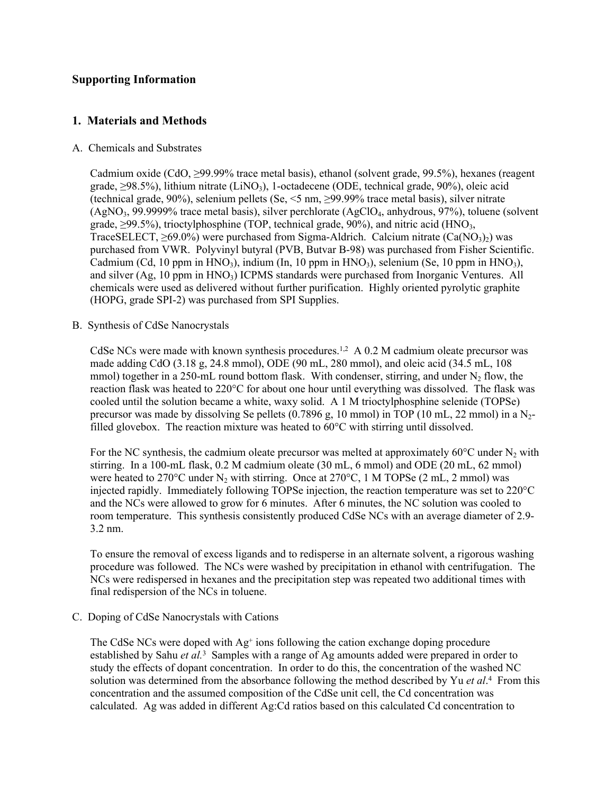# **Supporting Information**

# **1. Materials and Methods**

## A. Chemicals and Substrates

Cadmium oxide (CdO, ≥99.99% trace metal basis), ethanol (solvent grade, 99.5%), hexanes (reagent grade,  $\geq$ 98.5%), lithium nitrate (LiNO<sub>3</sub>), 1-octadecene (ODE, technical grade, 90%), oleic acid (technical grade, 90%), selenium pellets (Se,  $\leq$ 5 nm,  $\geq$ 99.99% trace metal basis), silver nitrate  $(AgNO<sub>3</sub>, 99.9999\%$  trace metal basis), silver perchlorate  $(AgClO<sub>4</sub>,$  anhydrous, 97%), toluene (solvent grade,  $\geq$ 99.5%), trioctylphosphine (TOP, technical grade, 90%), and nitric acid (HNO<sub>3</sub>, TraceSELECT,  $\geq 69.0\%$ ) were purchased from Sigma-Aldrich. Calcium nitrate (Ca(NO<sub>3</sub>)<sub>2</sub>) was purchased from VWR. Polyvinyl butyral (PVB, Butvar B-98) was purchased from Fisher Scientific. Cadmium (Cd, 10 ppm in  $HNO<sub>3</sub>$ ), indium (In, 10 ppm in  $HNO<sub>3</sub>$ ), selenium (Se, 10 ppm in  $HNO<sub>3</sub>$ ), and silver  $(Ag, 10$  ppm in  $HNO<sub>3</sub>$ ) ICPMS standards were purchased from Inorganic Ventures. All chemicals were used as delivered without further purification. Highly oriented pyrolytic graphite (HOPG, grade SPI-2) was purchased from SPI Supplies.

## B. Synthesis of CdSe Nanocrystals

CdSe NCs were made with known synthesis procedures.<sup>1,2</sup> A 0.2 M cadmium oleate precursor was made adding CdO (3.18 g, 24.8 mmol), ODE (90 mL, 280 mmol), and oleic acid (34.5 mL, 108 mmol) together in a 250-mL round bottom flask. With condenser, stirring, and under  $N_2$  flow, the reaction flask was heated to 220°C for about one hour until everything was dissolved. The flask was cooled until the solution became a white, waxy solid. A 1 M trioctylphosphine selenide (TOPSe) precursor was made by dissolving Se pellets  $(0.7896 \text{ g}, 10 \text{ mmol})$  in TOP  $(10 \text{ mL}, 22 \text{ mmol})$  in a N<sub>2</sub>filled glovebox. The reaction mixture was heated to  $60^{\circ}$ C with stirring until dissolved.

For the NC synthesis, the cadmium oleate precursor was melted at approximately  $60^{\circ}$ C under N<sub>2</sub> with stirring. In a 100-mL flask, 0.2 M cadmium oleate (30 mL, 6 mmol) and ODE (20 mL, 62 mmol) were heated to 270°C under  $N_2$  with stirring. Once at 270°C, 1 M TOPSe (2 mL, 2 mmol) was injected rapidly. Immediately following TOPSe injection, the reaction temperature was set to 220°C and the NCs were allowed to grow for 6 minutes. After 6 minutes, the NC solution was cooled to room temperature. This synthesis consistently produced CdSe NCs with an average diameter of 2.9- 3.2 nm.

To ensure the removal of excess ligands and to redisperse in an alternate solvent, a rigorous washing procedure was followed. The NCs were washed by precipitation in ethanol with centrifugation. The NCs were redispersed in hexanes and the precipitation step was repeated two additional times with final redispersion of the NCs in toluene.

## C. Doping of CdSe Nanocrystals with Cations

The CdSe NCs were doped with Ag<sup>+</sup> ions following the cation exchange doping procedure established by Sahu *et al.*<sup>3</sup> Samples with a range of Ag amounts added were prepared in order to study the effects of dopant concentration. In order to do this, the concentration of the washed NC solution was determined from the absorbance following the method described by Yu *et al*. 4 From this concentration and the assumed composition of the CdSe unit cell, the Cd concentration was calculated. Ag was added in different Ag:Cd ratios based on this calculated Cd concentration to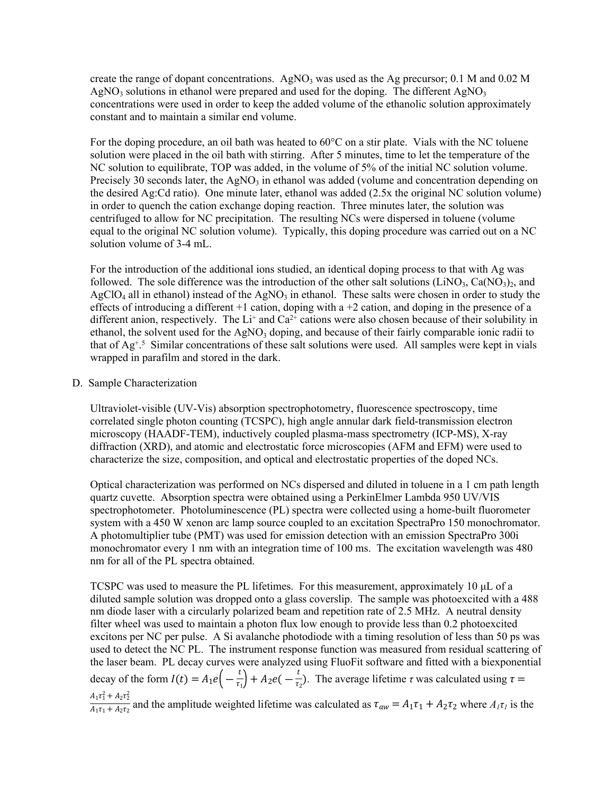create the range of dopant concentrations. AgNO<sub>3</sub> was used as the Ag precursor; 0.1 M and 0.02 M AgNO<sub>3</sub> solutions in ethanol were prepared and used for the doping. The different AgNO<sub>3</sub> concentrations were used in order to keep the added volume of the ethanolic solution approximately constant and to maintain a similar end volume.

For the doping procedure, an oil bath was heated to 60°C on a stir plate. Vials with the NC toluene solution were placed in the oil bath with stirring. After 5 minutes, time to let the temperature of the NC solution to equilibrate, TOP was added, in the volume of 5% of the initial NC solution volume. Precisely 30 seconds later, the AgNO<sub>3</sub> in ethanol was added (volume and concentration depending on the desired Ag:Cd ratio). One minute later, ethanol was added (2.5x the original NC solution volume) in order to quench the cation exchange doping reaction. Three minutes later, the solution was centrifuged to allow for NC precipitation. The resulting NCs were dispersed in toluene (volume equal to the original NC solution volume). Typically, this doping procedure was carried out on a NC solution volume of 3-4 mL.

For the introduction of the additional ions studied, an identical doping process to that with Ag was followed. The sole difference was the introduction of the other salt solutions (LiNO<sub>3</sub>, Ca(NO<sub>3</sub>)<sub>2</sub>, and  $AgClO<sub>4</sub>$  all in ethanol) instead of the AgN $O<sub>3</sub>$  in ethanol. These salts were chosen in order to study the effects of introducing a different  $+1$  cation, doping with a  $+2$  cation, and doping in the presence of a different anion, respectively. The  $Li^+$  and  $Ca^{2+}$  cations were also chosen because of their solubility in ethanol, the solvent used for the  $AgNO<sub>3</sub>$  doping, and because of their fairly comparable ionic radii to that of Ag<sup>+</sup> . 5 Similar concentrations of these salt solutions were used. All samples were kept in vials wrapped in parafilm and stored in the dark.

### D. Sample Characterization

Ultraviolet-visible (UV-Vis) absorption spectrophotometry, fluorescence spectroscopy, time correlated single photon counting (TCSPC), high angle annular dark field-transmission electron microscopy (HAADF-TEM), inductively coupled plasma-mass spectrometry (ICP-MS), X-ray diffraction (XRD), and atomic and electrostatic force microscopies (AFM and EFM) were used to characterize the size, composition, and optical and electrostatic properties of the doped NCs.

Optical characterization was performed on NCs dispersed and diluted in toluene in a 1 cm path length quartz cuvette. Absorption spectra were obtained using a PerkinElmer Lambda 950 UV/VIS spectrophotometer. Photoluminescence (PL) spectra were collected using a home-built fluorometer system with a 450 W xenon arc lamp source coupled to an excitation SpectraPro 150 monochromator. A photomultiplier tube (PMT) was used for emission detection with an emission SpectraPro 300i monochromator every 1 nm with an integration time of 100 ms. The excitation wavelength was 480 nm for all of the PL spectra obtained.

TCSPC was used to measure the PL lifetimes. For this measurement, approximately 10 μL of a diluted sample solution was dropped onto a glass coverslip. The sample was photoexcited with a 488 nm diode laser with a circularly polarized beam and repetition rate of 2.5 MHz. A neutral density filter wheel was used to maintain a photon flux low enough to provide less than 0.2 photoexcited excitons per NC per pulse. A Si avalanche photodiode with a timing resolution of less than 50 ps was used to detect the NC PL. The instrument response function was measured from residual scattering of the laser beam. PL decay curves were analyzed using FluoFit software and fitted with a biexponential decay of the form  $I(t) = A_1 e(-\frac{t}{\tau_1}) + A_2 e(-\frac{t}{\tau_2})$ . The average lifetime  $\tau$  was calculated using  $\left(\frac{t}{\tau_1}\right) + A_2 e \left(-\frac{t}{\tau_2}\right)$  $\frac{1}{\tau_2}$ ). The average lifetime  $\tau$  was calculated using  $\tau =$  $\frac{A_1 \tau_1^2 + A_2 \tau_2^2}{A_1 \tau_1 + A_2 \tau_2}$  and the amplitude weighted lifetime was calculated as  $\tau_{aw} = A_1 \tau_1 + A_2 \tau_2$  where  $A_1 \tau_1$  is the  $\frac{1}{A_1\tau_1 + A_2\tau_2}$  and the amplitude weighted lifetime was calculated as  $\tau_{aw} = A_1\tau_1 + A_2\tau_2$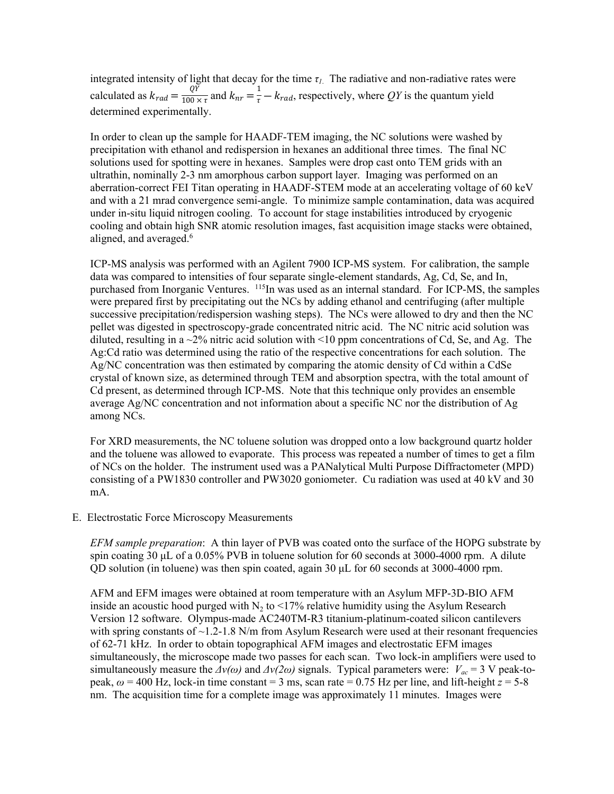integrated intensity of light that decay for the time  $\tau_l$ . The radiative and non-radiative rates were calculated as  $k_{rad} = \frac{Q\bar{Y}}{100 \times \tau}$  and  $k_{nr} = \frac{1}{\tau} - k_{rad}$ , respectively, where QY is the quantum yield  $\frac{Q\bar{Y}}{100 \times \tau}$  and  $k_{nr} = \frac{1}{\tau} - k_{rad}$ . determined experimentally.

In order to clean up the sample for HAADF-TEM imaging, the NC solutions were washed by precipitation with ethanol and redispersion in hexanes an additional three times. The final NC solutions used for spotting were in hexanes. Samples were drop cast onto TEM grids with an ultrathin, nominally 2-3 nm amorphous carbon support layer. Imaging was performed on an aberration-correct FEI Titan operating in HAADF-STEM mode at an accelerating voltage of 60 keV and with a 21 mrad convergence semi-angle. To minimize sample contamination, data was acquired under in-situ liquid nitrogen cooling. To account for stage instabilities introduced by cryogenic cooling and obtain high SNR atomic resolution images, fast acquisition image stacks were obtained, aligned, and averaged.<sup>6</sup>

ICP-MS analysis was performed with an Agilent 7900 ICP-MS system. For calibration, the sample data was compared to intensities of four separate single-element standards, Ag, Cd, Se, and In, purchased from Inorganic Ventures. <sup>115</sup>In was used as an internal standard. For ICP-MS, the samples were prepared first by precipitating out the NCs by adding ethanol and centrifuging (after multiple successive precipitation/redispersion washing steps). The NCs were allowed to dry and then the NC pellet was digested in spectroscopy-grade concentrated nitric acid. The NC nitric acid solution was diluted, resulting in a  $\sim$ 2% nitric acid solution with  $\leq$ 10 ppm concentrations of Cd, Se, and Ag. The Ag:Cd ratio was determined using the ratio of the respective concentrations for each solution. The Ag/NC concentration was then estimated by comparing the atomic density of Cd within a CdSe crystal of known size, as determined through TEM and absorption spectra, with the total amount of Cd present, as determined through ICP-MS. Note that this technique only provides an ensemble average  $Ag/NC$  concentration and not information about a specific NC nor the distribution of Ag among NCs.

For XRD measurements, the NC toluene solution was dropped onto a low background quartz holder and the toluene was allowed to evaporate. This process was repeated a number of times to get a film of NCs on the holder. The instrument used was a PANalytical Multi Purpose Diffractometer (MPD) consisting of a PW1830 controller and PW3020 goniometer. Cu radiation was used at 40 kV and 30 mA.

E. Electrostatic Force Microscopy Measurements

*EFM sample preparation*: A thin layer of PVB was coated onto the surface of the HOPG substrate by spin coating 30 μL of a 0.05% PVB in toluene solution for 60 seconds at 3000-4000 rpm. A dilute QD solution (in toluene) was then spin coated, again 30 μL for 60 seconds at 3000-4000 rpm.

AFM and EFM images were obtained at room temperature with an Asylum MFP-3D-BIO AFM inside an acoustic hood purged with  $N_2$  to <17% relative humidity using the Asylum Research Version 12 software. Olympus-made AC240TM-R3 titanium-platinum-coated silicon cantilevers with spring constants of  $\sim$  1.2-1.8 N/m from Asylum Research were used at their resonant frequencies of 62-71 kHz. In order to obtain topographical AFM images and electrostatic EFM images simultaneously, the microscope made two passes for each scan. Two lock-in amplifiers were used to simultaneously measure the  $\Delta v(\omega)$  and  $\Delta v(2\omega)$  signals. Typical parameters were:  $V_{ac} = 3$  V peak-topeak,  $\omega$  = 400 Hz, lock-in time constant = 3 ms, scan rate = 0.75 Hz per line, and lift-height  $\bar{z}$  = 5-8 nm. The acquisition time for a complete image was approximately 11 minutes. Images were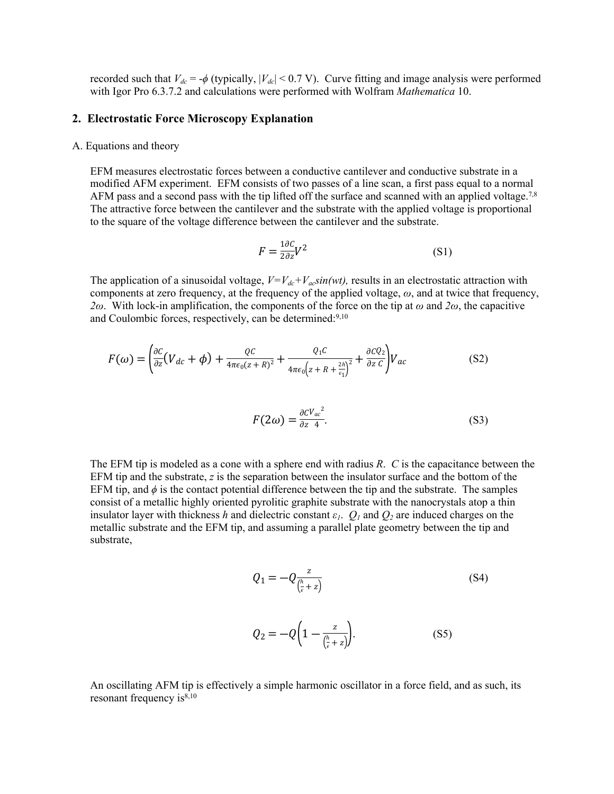recorded such that  $V_{dc} = -\phi$  (typically,  $|V_{dc}|$  < 0.7 V). Curve fitting and image analysis were performed with Igor Pro 6.3.7.2 and calculations were performed with Wolfram *Mathematica* 10.

### **2. Electrostatic Force Microscopy Explanation**

### A. Equations and theory

EFM measures electrostatic forces between a conductive cantilever and conductive substrate in a modified AFM experiment. EFM consists of two passes of a line scan, a first pass equal to a normal AFM pass and a second pass with the tip lifted off the surface and scanned with an applied voltage.<sup>7,8</sup> The attractive force between the cantilever and the substrate with the applied voltage is proportional to the square of the voltage difference between the cantilever and the substrate.

$$
F = \frac{1 \partial C}{2 \partial z} V^2 \tag{S1}
$$

The application of a sinusoidal voltage,  $V=V_{dc}+V_{ac}sin(wt)$ , results in an electrostatic attraction with components at zero frequency, at the frequency of the applied voltage, *ω*, and at twice that frequency, *2ω*. With lock-in amplification, the components of the force on the tip at *ω* and *2ω*, the capacitive and Coulombic forces, respectively, can be determined:<sup>9,10</sup>

$$
F(\omega) = \left(\frac{\partial C}{\partial z}(V_{dc} + \phi) + \frac{QC}{4\pi\epsilon_0(z+R)^2} + \frac{Q_1C}{4\pi\epsilon_0\left(z+R+\frac{2h}{\epsilon_1}\right)^2} + \frac{\partial CQ_2}{\partial z C}\right)V_{ac}
$$
(S2)

$$
F(2\omega) = \frac{\partial CV_{ac}^2}{\partial z \ 4}.\tag{S3}
$$

The EFM tip is modeled as a cone with a sphere end with radius *R*. *C* is the capacitance between the EFM tip and the substrate, *z* is the separation between the insulator surface and the bottom of the EFM tip, and  $\phi$  is the contact potential difference between the tip and the substrate. The samples consist of a metallic highly oriented pyrolitic graphite substrate with the nanocrystals atop a thin insulator layer with thickness *h* and dielectric constant  $\varepsilon_l$ .  $Q_l$  and  $Q_2$  are induced charges on the metallic substrate and the EFM tip, and assuming a parallel plate geometry between the tip and substrate,

$$
Q_1 = -Q \frac{z}{\left(\frac{h}{\epsilon} + z\right)}\tag{S4}
$$

$$
Q_2 = -Q\left(1 - \frac{z}{\binom{h}{\epsilon} + z}\right). \tag{S5}
$$

An oscillating AFM tip is effectively a simple harmonic oscillator in a force field, and as such, its resonant frequency  $is^{8,10}$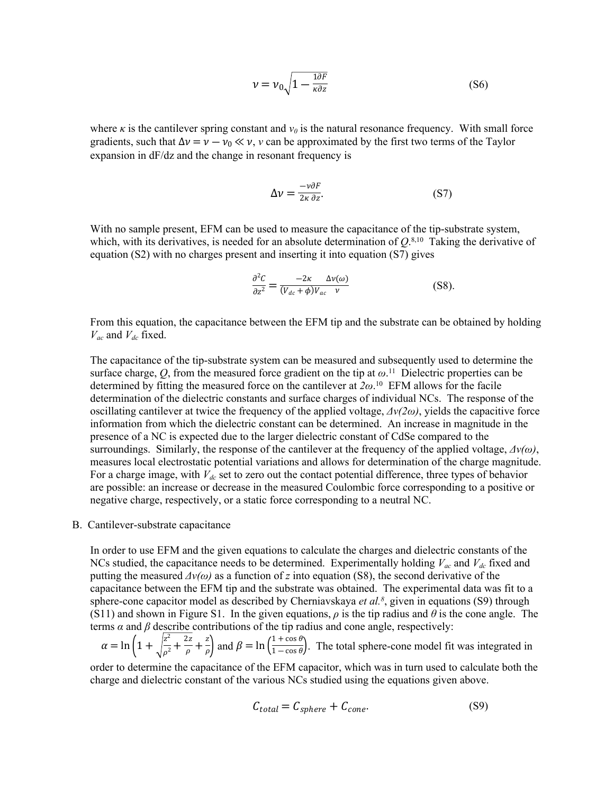$$
\nu = \nu_0 \sqrt{1 - \frac{1 \partial F}{\kappa \partial z}}
$$
 (S6)

where  $\kappa$  is the cantilever spring constant and  $v_0$  is the natural resonance frequency. With small force gradients, such that  $\Delta v = v - v_0 \ll v$ , v can be approximated by the first two terms of the Taylor expansion in dF/dz and the change in resonant frequency is

$$
\Delta v = \frac{-\nu \partial F}{2\kappa \partial z}.
$$
 (S7)

With no sample present, EFM can be used to measure the capacitance of the tip-substrate system, which, with its derivatives, is needed for an absolute determination of  $Q^{(8,10)}$  Taking the derivative of equation (S2) with no charges present and inserting it into equation (S7) gives

$$
\frac{\partial^2 C}{\partial z^2} = \frac{-2\kappa \Delta v(\omega)}{(V_{dc} + \phi)V_{ac} \quad \nu}
$$
 (S8).

From this equation, the capacitance between the EFM tip and the substrate can be obtained by holding *Vac* and *Vdc* fixed.

The capacitance of the tip-substrate system can be measured and subsequently used to determine the surface charge,  $Q$ , from the measured force gradient on the tip at  $\omega$ <sup>11</sup>. Dielectric properties can be determined by fitting the measured force on the cantilever at  $2\omega$ <sup>10</sup> EFM allows for the facile determination of the dielectric constants and surface charges of individual NCs. The response of the oscillating cantilever at twice the frequency of the applied voltage, *Δν(2ω)*, yields the capacitive force information from which the dielectric constant can be determined. An increase in magnitude in the presence of a NC is expected due to the larger dielectric constant of CdSe compared to the surroundings. Similarly, the response of the cantilever at the frequency of the applied voltage, *Δν(ω)*, measures local electrostatic potential variations and allows for determination of the charge magnitude. For a charge image, with *Vdc* set to zero out the contact potential difference, three types of behavior are possible: an increase or decrease in the measured Coulombic force corresponding to a positive or negative charge, respectively, or a static force corresponding to a neutral NC.

B. Cantilever-substrate capacitance

In order to use EFM and the given equations to calculate the charges and dielectric constants of the NCs studied, the capacitance needs to be determined. Experimentally holding  $V_{ac}$  and  $V_{dc}$  fixed and putting the measured  $\Delta v(\omega)$  as a function of *z* into equation (S8), the second derivative of the capacitance between the EFM tip and the substrate was obtained. The experimental data was fit to a sphere-cone capacitor model as described by Cherniavskaya *et al.<sup>8</sup>* , given in equations (S9) through (S11) and shown in Figure S1. In the given equations,  $\rho$  is the tip radius and  $\theta$  is the cone angle. The terms  $\alpha$  and  $\beta$  describe contributions of the tip radius and cone angle, respectively:

$$
\alpha = \ln\left(1 + \sqrt{\frac{z^2}{\rho^2} + \frac{2z}{\rho}} + \frac{z}{\rho}\right)
$$
 and  $\beta = \ln\left(\frac{1 + \cos\theta}{1 - \cos\theta}\right)$ . The total sphere-cone model fit was integrated in

order to determine the capacitance of the EFM capacitor, which was in turn used to calculate both the charge and dielectric constant of the various NCs studied using the equations given above.

$$
C_{total} = C_{sphere} + C_{cone}.
$$
 (S9)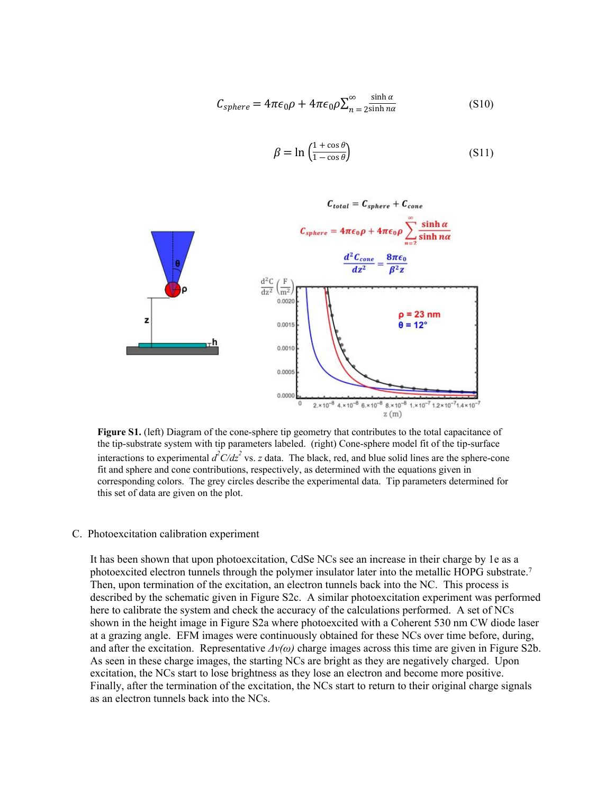$$
C_{sphere} = 4\pi\epsilon_0\rho + 4\pi\epsilon_0\rho \sum_{n=2}^{\infty} \frac{\sinh \alpha}{2\sinh n\alpha}
$$
 (S10)

$$
\beta = \ln \left( \frac{1 + \cos \theta}{1 - \cos \theta} \right) \tag{S11}
$$



**Figure S1.** (left) Diagram of the cone-sphere tip geometry that contributes to the total capacitance of the tip-substrate system with tip parameters labeled. (right) Cone-sphere model fit of the tip-surface interactions to experimental  $d^2C/dz^2$  vs. *z* data. The black, red, and blue solid lines are the sphere-cone fit and sphere and cone contributions, respectively, as determined with the equations given in corresponding colors. The grey circles describe the experimental data. Tip parameters determined for this set of data are given on the plot.

#### C. Photoexcitation calibration experiment

It has been shown that upon photoexcitation, CdSe NCs see an increase in their charge by 1e as a photoexcited electron tunnels through the polymer insulator later into the metallic HOPG substrate.<sup>7</sup> Then, upon termination of the excitation, an electron tunnels back into the NC. This process is described by the schematic given in Figure S2c. A similar photoexcitation experiment was performed here to calibrate the system and check the accuracy of the calculations performed. A set of NCs shown in the height image in Figure S2a where photoexcited with a Coherent 530 nm CW diode laser at a grazing angle. EFM images were continuously obtained for these NCs over time before, during, and after the excitation. Representative  $\Delta v(\omega)$  charge images across this time are given in Figure S2b. As seen in these charge images, the starting NCs are bright as they are negatively charged. Upon excitation, the NCs start to lose brightness as they lose an electron and become more positive. Finally, after the termination of the excitation, the NCs start to return to their original charge signals as an electron tunnels back into the NCs.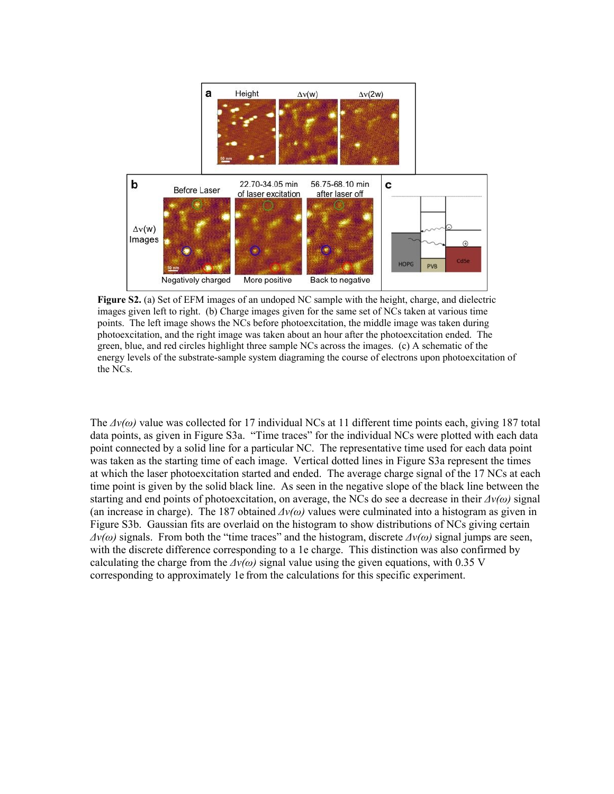

**Figure S2.** (a) Set of EFM images of an undoped NC sample with the height, charge, and dielectric images given left to right. (b) Charge images given for the same set of NCs taken at various time points. The left image shows the NCs before photoexcitation, the middle image was taken during photoexcitation, and the right image was taken about an hour after the photoexcitation ended. The green, blue, and red circles highlight three sample NCs across the images. (c) A schematic of the energy levels of the substrate-sample system diagraming the course of electrons upon photoexcitation of the NCs.

The  $\Delta v(\omega)$  value was collected for 17 individual NCs at 11 different time points each, giving 187 total data points, as given in Figure S3a. "Time traces" for the individual NCs were plotted with each data point connected by a solid line for a particular NC. The representative time used for each data point was taken as the starting time of each image. Vertical dotted lines in Figure S3a represent the times at which the laser photoexcitation started and ended. The average charge signal of the 17 NCs at each time point is given by the solid black line. As seen in the negative slope of the black line between the starting and end points of photoexcitation, on average, the NCs do see a decrease in their *Δν(ω)* signal (an increase in charge). The 187 obtained *Δν(ω)* values were culminated into a histogram as given in Figure S3b. Gaussian fits are overlaid on the histogram to show distributions of NCs giving certain  $Δν(ω)$  signals. From both the "time traces" and the histogram, discrete  $Δν(ω)$  signal jumps are seen, with the discrete difference corresponding to a 1e charge. This distinction was also confirmed by calculating the charge from the  $\Delta v(\omega)$  signal value using the given equations, with 0.35 V corresponding to approximately 1e from the calculations for this specific experiment.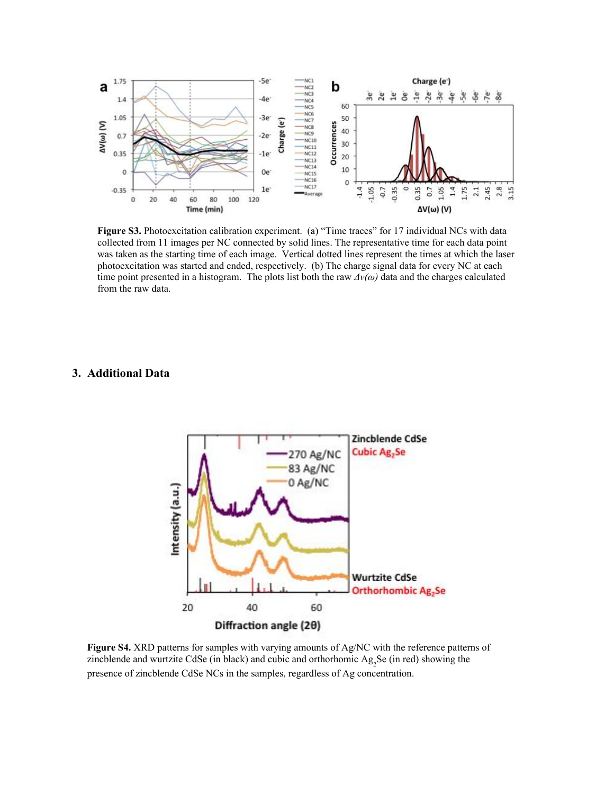

Figure S3. Photoexcitation calibration experiment. (a) "Time traces" for 17 individual NCs with data collected from 11 images per NC connected by solid lines. The representative time for each data point was taken as the starting time of each image. Vertical dotted lines represent the times at which the laser photoexcitation was started and ended, respectively. (b) The charge signal data for every NC at each time point presented in a histogram. The plots list both the raw *Δν(ω)* data and the charges calculated from the raw data.

# **3. Additional Data**



**Figure S4.** XRD patterns for samples with varying amounts of Ag/NC with the reference patterns of zincblende and wurtzite CdSe (in black) and cubic and orthorhomic  $Ag_2Se$  (in red) showing the presence of zincblende CdSe NCs in the samples, regardless of Ag concentration.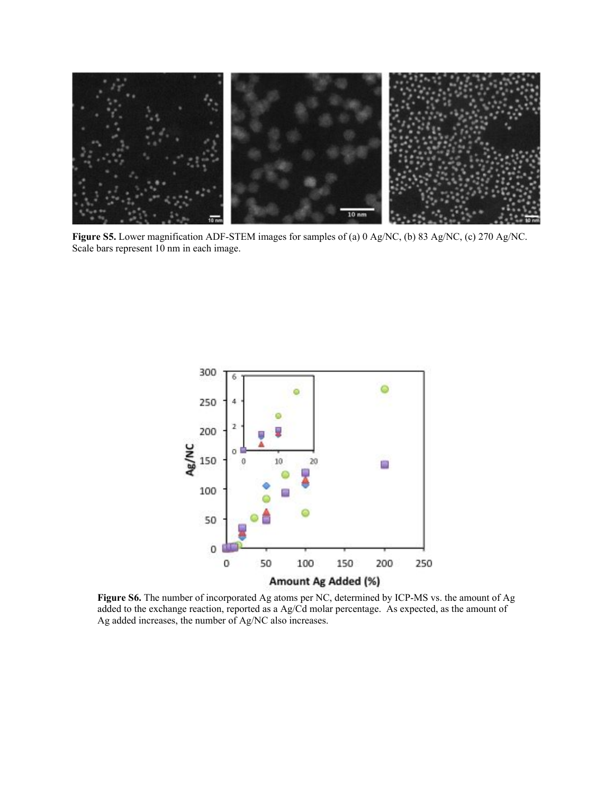

**Figure S5.** Lower magnification ADF-STEM images for samples of (a) 0 Ag/NC, (b) 83 Ag/NC, (c) 270 Ag/NC. Scale bars represent 10 nm in each image.



**Figure S6.** The number of incorporated Ag atoms per NC, determined by ICP-MS vs. the amount of Ag added to the exchange reaction, reported as a Ag/Cd molar percentage. As expected, as the amount of Ag added increases, the number of Ag/NC also increases.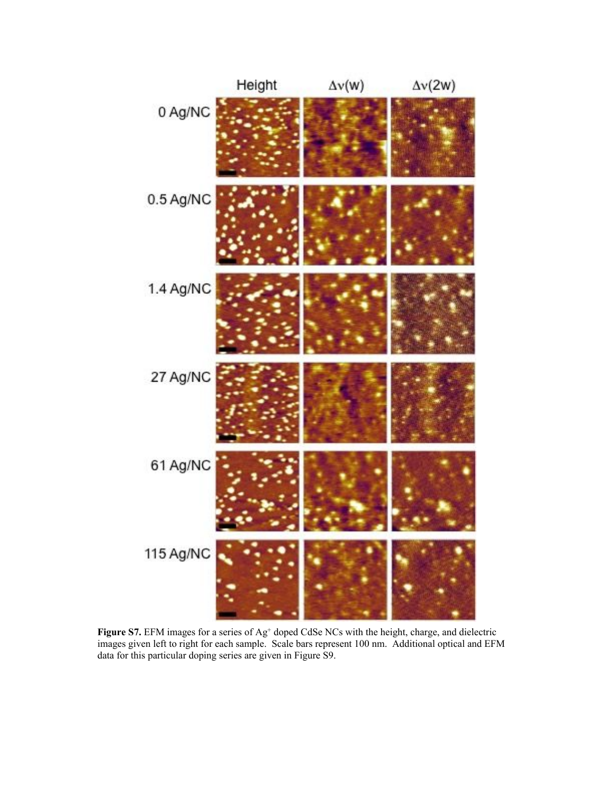

Figure S7. EFM images for a series of Ag<sup>+</sup> doped CdSe NCs with the height, charge, and dielectric images given left to right for each sample. Scale bars represent 100 nm. Additional optical and EFM data for this particular doping series are given in Figure S9.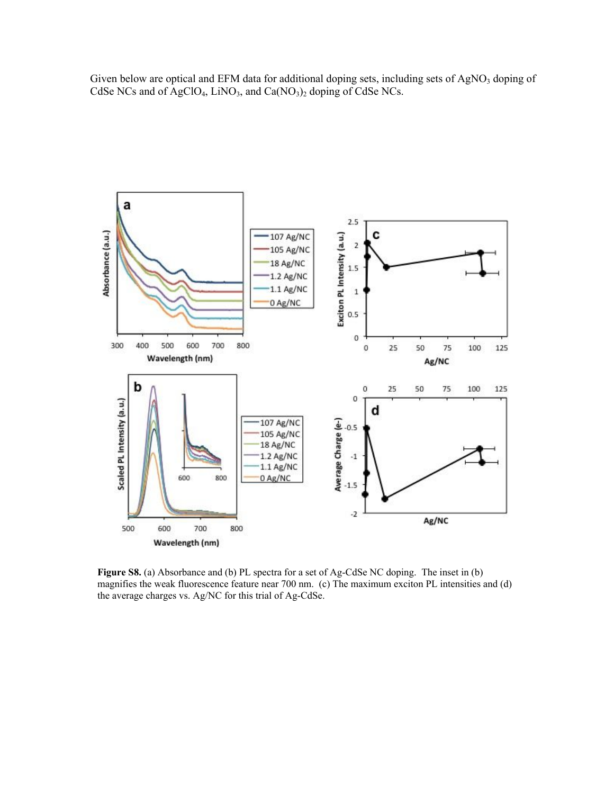Given below are optical and EFM data for additional doping sets, including sets of AgNO<sub>3</sub> doping of CdSe NCs and of AgClO<sub>4</sub>, LiNO<sub>3</sub>, and Ca(NO<sub>3</sub>)<sub>2</sub> doping of CdSe NCs.



**Figure S8.** (a) Absorbance and (b) PL spectra for a set of Ag-CdSe NC doping. The inset in (b) magnifies the weak fluorescence feature near 700 nm. (c) The maximum exciton PL intensities and (d) the average charges vs. Ag/NC for this trial of Ag-CdSe.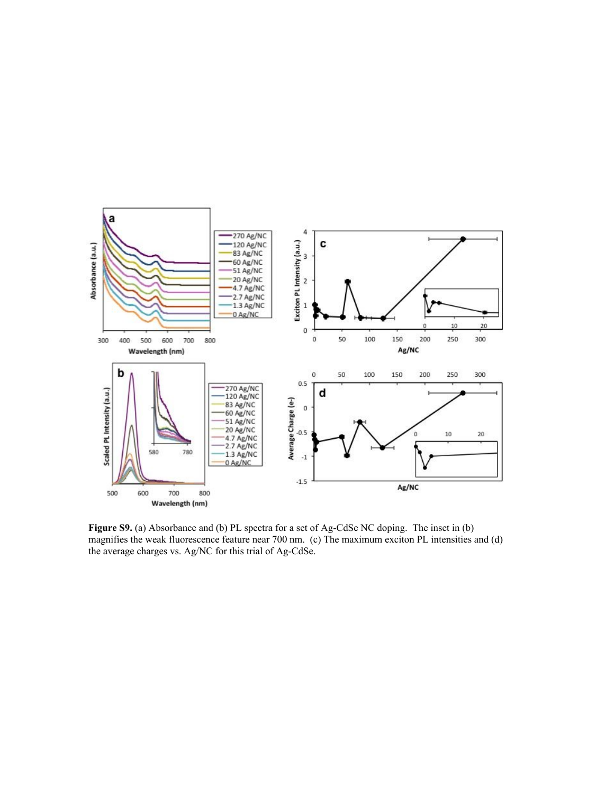

**Figure S9.** (a) Absorbance and (b) PL spectra for a set of Ag-CdSe NC doping. The inset in (b) magnifies the weak fluorescence feature near 700 nm. (c) The maximum exciton PL intensities and (d) the average charges vs. Ag/NC for this trial of Ag-CdSe.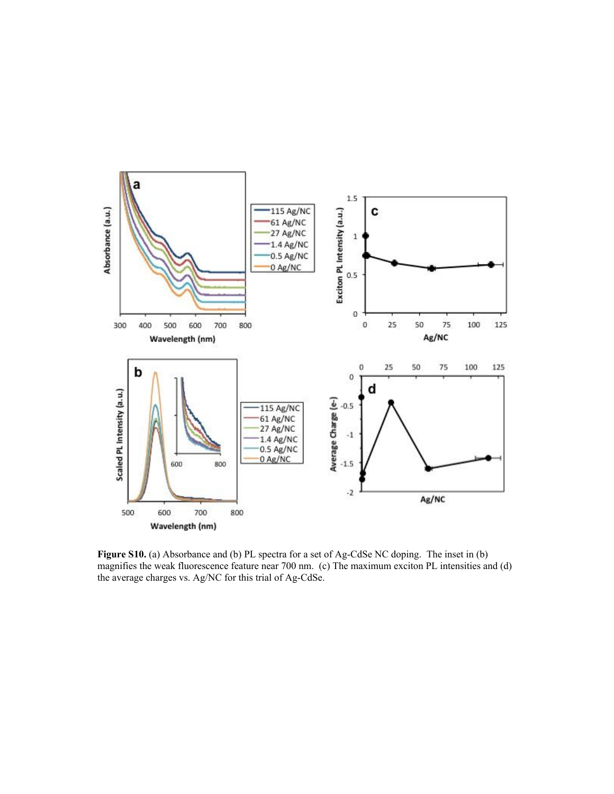

**Figure S10.** (a) Absorbance and (b) PL spectra for a set of Ag-CdSe NC doping. The inset in (b) magnifies the weak fluorescence feature near 700 nm. (c) The maximum exciton PL intensities and (d) the average charges vs. Ag/NC for this trial of Ag-CdSe.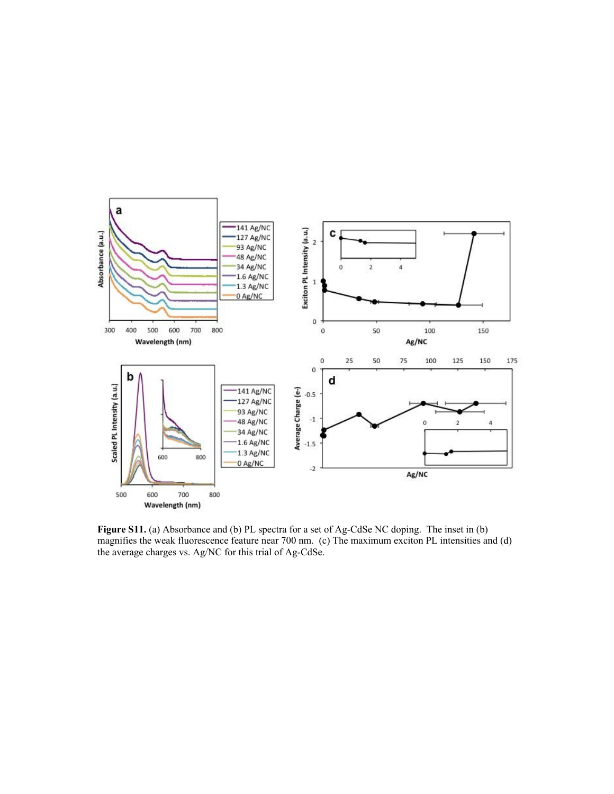

**Figure S11.** (a) Absorbance and (b) PL spectra for a set of Ag-CdSe NC doping. The inset in (b) magnifies the weak fluorescence feature near 700 nm. (c) The maximum exciton PL intensities and (d) the average charges vs. Ag/NC for this trial of Ag-CdSe.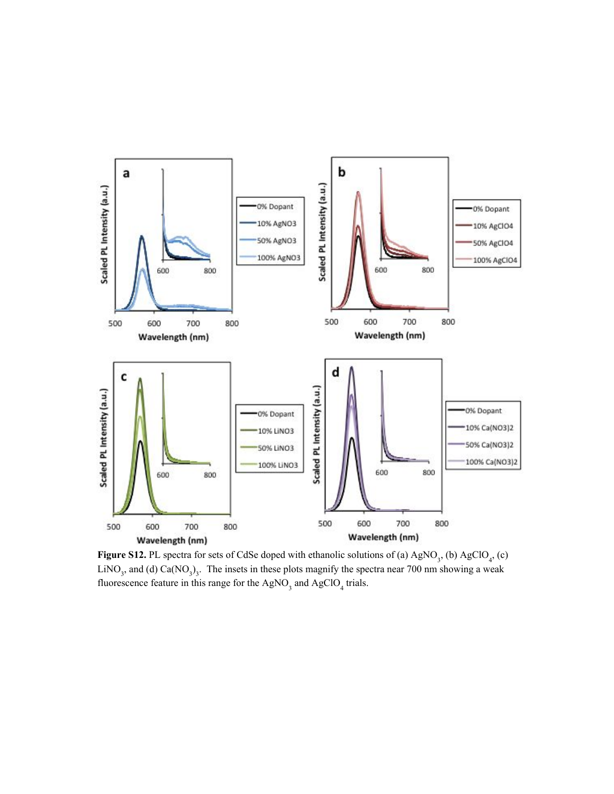

**Figure S12.** PL spectra for sets of CdSe doped with ethanolic solutions of (a)  $AgNO_3$ , (b)  $AgClO_4$ , (c) LiNO<sub>3</sub>, and (d) Ca(NO<sub>3</sub>)<sub>3</sub>. The insets in these plots magnify the spectra near 700 nm showing a weak fluorescence feature in this range for the  $AgNO_3$  and  $AgClO_4$  trials.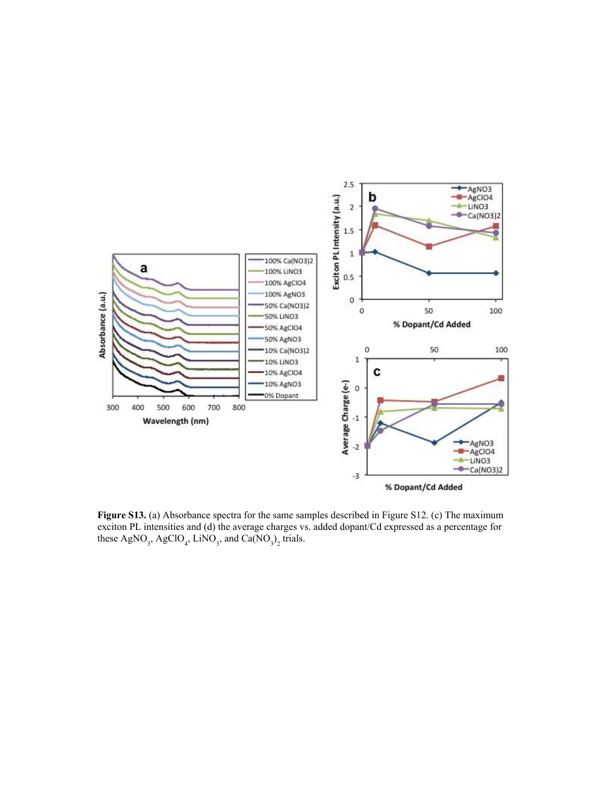

**Figure S13.** (a) Absorbance spectra for the same samples described in Figure S12. (c) The maximum exciton PL intensities and (d) the average charges vs. added dopant/Cd expressed as a percentage for these  $AgNO_3$ ,  $AgClO_4$ ,  $LiNO_3$ , and  $Ca(NO_3)_2$  trials.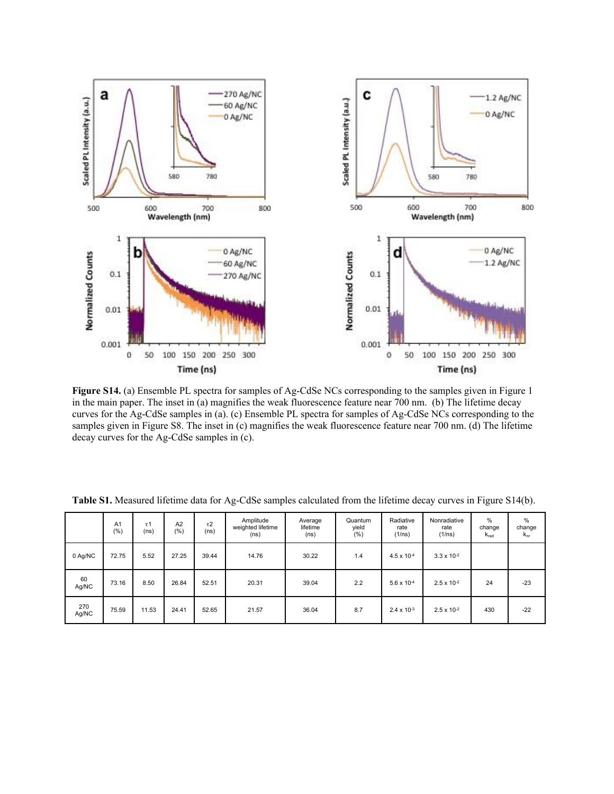

**Figure S14.** (a) Ensemble PL spectra for samples of Ag-CdSe NCs corresponding to the samples given in Figure 1 in the main paper. The inset in (a) magnifies the weak fluorescence feature near 700 nm. (b) The lifetime decay curves for the Ag-CdSe samples in (a). (c) Ensemble PL spectra for samples of Ag-CdSe NCs corresponding to the samples given in Figure S8. The inset in (c) magnifies the weak fluorescence feature near 700 nm. (d) The lifetime decay curves for the Ag-CdSe samples in (c).

|              | A <sub>1</sub><br>$(\% )$ | $\tau$ 1<br>(ns) | A2<br>(% ) | $\tau$ 2<br>(ns) | Amplitude<br>weighted lifetime<br>(ns) | Average<br>lifetime<br>(ns) | Quantum<br>yield<br>(%) | Radiative<br>rate<br>(1/ns) | Nonradiative<br>rate<br>(1/ns) | $\%$<br>change<br>$k_{rad}$ | %<br>change<br>$k_{nr}$ |
|--------------|---------------------------|------------------|------------|------------------|----------------------------------------|-----------------------------|-------------------------|-----------------------------|--------------------------------|-----------------------------|-------------------------|
| 0 Ag/NC      | 72.75                     | 5.52             | 27.25      | 39.44            | 14.76                                  | 30.22                       | 1.4                     | $4.5 \times 10^{-4}$        | $3.3 \times 10^{-2}$           |                             |                         |
| 60<br>Ag/NC  | 73.16                     | 8.50             | 26.84      | 52.51            | 20.31                                  | 39.04                       | 2.2                     | $5.6 \times 10^{-4}$        | $2.5 \times 10^{-2}$           | 24                          | $-23$                   |
| 270<br>Ag/NC | 75.59                     | 11.53            | 24.41      | 52.65            | 21.57                                  | 36.04                       | 8.7                     | $2.4 \times 10^{-3}$        | $2.5 \times 10^{-2}$           | 430                         | $-22$                   |

**Table S1.** Measured lifetime data for Ag-CdSe samples calculated from the lifetime decay curves in Figure S14(b).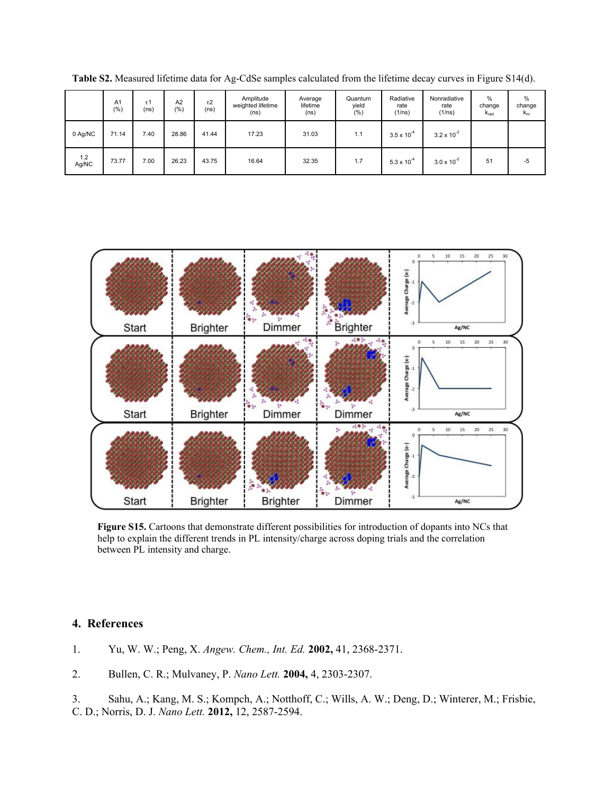|              | A <sub>1</sub><br>(%) | τ1<br>(ns) | A2<br>(%) | $\tau$ 2<br>(ns) | Amplitude<br>weighted lifetime<br>(ns) | Average<br>lifetime<br>(ns) | Quantum<br>yield<br>(%) | Radiative<br>rate<br>(1/ns) | Nonradiative<br>rate<br>(1/ns) | $\%$<br>change<br>$K_{rad}$ | $\frac{0}{0}$<br>change<br>$k_{nr}$ |
|--------------|-----------------------|------------|-----------|------------------|----------------------------------------|-----------------------------|-------------------------|-----------------------------|--------------------------------|-----------------------------|-------------------------------------|
| 0 Ag/NC      | 71.14                 | 7.40       | 28.86     | 41.44            | 17.23                                  | 31.03                       | 1.1                     | $3.5 \times 10^{-4}$        | $3.2 \times 10^{-2}$           |                             |                                     |
| 1.2<br>Ag/NC | 73.77                 | 7.00       | 26.23     | 43.75            | 16.64                                  | 32.35                       | 1.7                     | $5.3 \times 10^{-4}$        | $3.0 \times 10^{-2}$           | 51                          | $-5$                                |

**Table S2.** Measured lifetime data for Ag-CdSe samples calculated from the lifetime decay curves in Figure S14(d).



**Figure S15.** Cartoons that demonstrate different possibilities for introduction of dopants into NCs that help to explain the different trends in PL intensity/charge across doping trials and the correlation between PL intensity and charge.

# **4. References**

1. Yu, W. W.; Peng, X. *Angew. Chem., Int. Ed.* **2002,** 41, 2368-2371.

2. Bullen, C. R.; Mulvaney, P. *Nano Lett.* **2004,** 4, 2303-2307.

3. Sahu, A.; Kang, M. S.; Kompch, A.; Notthoff, C.; Wills, A. W.; Deng, D.; Winterer, M.; Frisbie, C. D.; Norris, D. J. *Nano Lett.* **2012,** 12, 2587-2594.